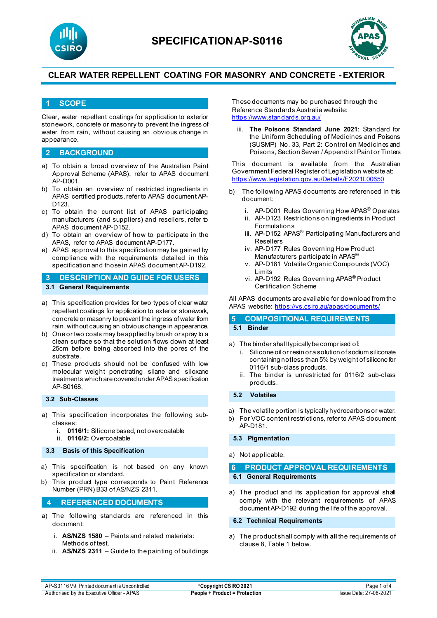



## **1 SCOPE**

Clear, water repellent coatings for application to exterior stonework, concrete or masonry to prevent the ingress of water from rain, without causing an obvious change in appearance.

## **2 BACKGROUND**

- a) To obtain a broad overview of the Australian Paint Approval Scheme (APAS), refer to APAS document AP-D001.
- b) To obtain an overview of restricted ingredients in APAS certified products, refer to APAS document AP-D<sub>123</sub>
- c) To obtain the current list of APAS participating manufacturers (and suppliers) and resellers, refer to APAS document AP-D152.
- d) To obtain an overview of how to participate in the APAS, refer to APAS document AP-D177.
- e) APAS approval to this specification may be gained by compliance with the requirements detailed in this specification and those in APAS document AP-D192.

**3 DESCRIPTION AND GUIDE FOR USERS 3.1 General Requirements**

- a) This specification provides for two types of clear water repellent coatings for application to exterior stonework, concrete or masonry to prevent the ingress of water from rain, without causing an obvious change in appearance.
- b) One or two coats may be applied by brush or spray to a clean surface so that the solution flows down at least 25cm before being absorbed into the pores of the substrate.
- c) These products should not be confused with low molecular weight penetrating silane and siloxane treatments which are covered under APAS specification AP-S0168.

### **3.2 Sub-Classes**

- a) This specification incorporates the following subclasses:
	- i. **0116/1:** Silicone based, not overcoatable
	- ii. **0116/2:** Overcoatable

#### **3.3 Basis of this Specification**

- a) This specification is not based on any known specification or standard.
- b) This product type corresponds to Paint Reference Number (PRN) B33 of AS/NZS 2311.

## **4 REFERENCED DOCUMENTS**

- a) The following standards are referenced in this document:
	- i. **AS/NZS 1580** Paints and related materials: Methods of test.
	- ii. **AS/NZS 2311**  Guide to the painting of buildings

These documents may be purchased through the Reference Standards Australia website: <https://www.standards.org.au/>

iii. **The Poisons Standard June 2021**: Standard for the Uniform Scheduling of Medicines and Poisons (SUSMP) No. 33, Part 2: Control on Medicines and Poisons, Section Seven / Appendix I Paint or Tinters

This document is available from the Australian Government Federal Register of Legislation website at: <https://www.legislation.gov.au/Details/F2021L00650>

- b) The following APAS documents are referenced in this document:
	- i. AP-D001 Rules Governing How APAS® Operates
	- ii. AP-D123 Restrictions on Ingredients in Product Formulations
	- iii. AP-D152 APAS<sup>®</sup> Participating Manufacturers and Resellers
	- iv. AP-D177 Rules Governing How Product Manufacturers participate in APAS®
	- v. AP-D181 Volatile Organic Compounds (VOC) Limits
	- vi. AP-D192 Rules Governing APAS® Product Certification Scheme

All APAS documents are available for download from the APAS website: <https://vs.csiro.au/apas/documents/>

#### **5 COMPOSITIONAL REQUIREMENTS 5.1 Binder**

- a) The binder shall typically be comprised of:
	- Silicone oil or resin or a solution of sodium siliconate containing notless than 5% by weight of silicone for 0116/1 sub-class products.
	- ii. The binder is unrestricted for 0116/2 sub-class products.

#### **5.2 Volatiles**

- a) The volatile portion is typically hydrocarbons or water.
- b) For VOC content restrictions, refer to APAS document AP-D181.

### **5.3 Pigmentation**

#### a) Not applicable.

### **6 PRODUCT APPROVAL REQUIREMENTS 6.1 General Requirements**

a) The product and its application for approval shall comply with the relevant requirements of APAS document AP-D192 during the life of the approval.

#### **6.2 Technical Requirements**

a) The product shall comply with **all** the requirements of clause 8, Table 1 below.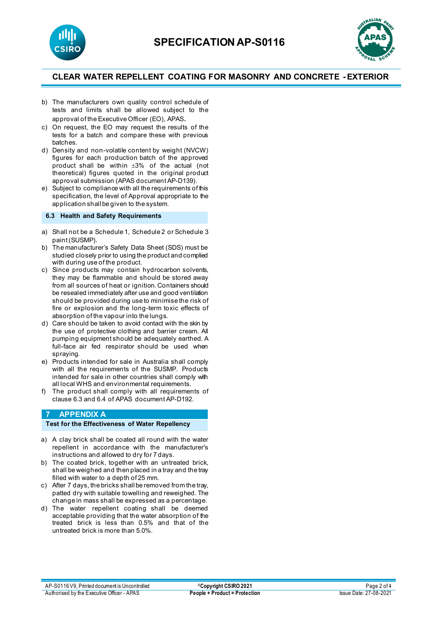



- b) The manufacturers own quality control schedule of tests and limits shall be allowed subject to the approval of the Executive Officer (EO), APAS.
- c) On request, the EO may request the results of the tests for a batch and compare these with previous batches.
- d) Density and non-volatile content by weight (NVCW) figures for each production batch of the approved product shall be within ±3% of the actual (not theoretical) figures quoted in the original product approval submission (APAS document AP-D139).
- e) Subject to compliance with all the requirements of this specification, the level of Approval appropriate to the application shall be given to the system.

## **6.3 Health and Safety Requirements**

- a) Shall not be a Schedule 1, Schedule 2 or Schedule 3 paint (SUSMP).
- b) The manufacturer's Safety Data Sheet (SDS) must be studied closely prior to using the product and complied with during use of the product.
- c) Since products may contain hydrocarbon solvents, they may be flammable and should be stored away from all sources of heat or ignition. Containers should be resealed immediately after use and good ventilation should be provided during use to minimise the risk of fire or explosion and the long-term toxic effects of absorption of the vapour into the lungs.
- d) Care should be taken to avoid contact with the skin by the use of protective clothing and barrier cream. All pumping equipment should be adequately earthed. A full-face air fed respirator should be used when spraying.
- e) Products intended for sale in Australia shall comply with all the requirements of the SUSMP. Products intended for sale in other countries shall comply with all local WHS and environmental requirements.
- f) The product shall comply with all requirements of clause 6.3 and 6.4 of APAS document AP-D192.

## **7 APPENDIX A**

#### **Test for the Effectiveness of Water Repellency**

- a) A clay brick shall be coated all round with the water repellent in accordance with the manufacturer's instructions and allowed to dry for 7 days.
- b) The coated brick, together with an untreated brick, shall be weighed and then placed in a tray and the tray filled with water to a depth of 25 mm.
- c) After 7 days, the bricks shall be removed from the tray, patted dry with suitable towelling and reweighed. The change in mass shall be expressed as a percentage.
- d) The water repellent coating shall be deemed acceptable providing that the water absorption of the treated brick is less than 0.5% and that of the untreated brick is more than 5.0%.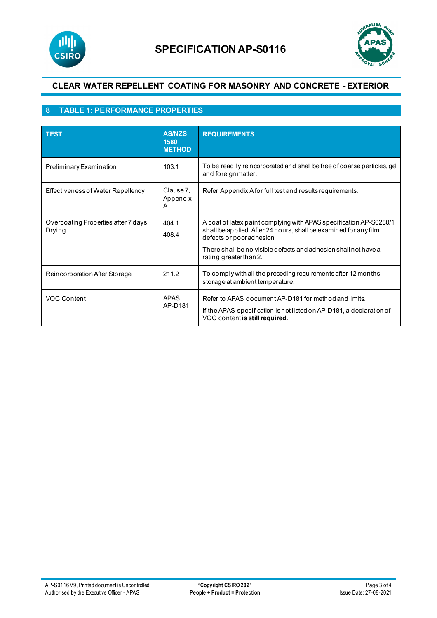



# **8 TABLE 1: PERFORMANCE PROPERTIES**

| <b>TEST</b>                                   | <b>AS/NZS</b><br>1580<br><b>METHOD</b> | <b>REQUIREMENTS</b>                                                                                                                                                                                                                                              |
|-----------------------------------------------|----------------------------------------|------------------------------------------------------------------------------------------------------------------------------------------------------------------------------------------------------------------------------------------------------------------|
| Preliminary Examination                       | 103.1                                  | To be readily reincorporated and shall be free of coarse particles, gel<br>and foreign matter.                                                                                                                                                                   |
| Effectiveness of Water Repellency             | Clause 7,<br>Appendix<br>A             | Refer Appendix A for full test and results requirements.                                                                                                                                                                                                         |
| Overcoating Properties after 7 days<br>Drying | 404.1<br>408.4                         | A coat of latex paint complying with APAS specification AP-S0280/1<br>shall be applied. After 24 hours, shall be examined for any film<br>defects or poor adhesion.<br>There shall be no visible defects and adhesion shall not have a<br>rating greater than 2. |
| Reincorporation After Storage                 | 211.2                                  | To comply with all the preceding requirements after 12 months<br>storage at ambient temperature.                                                                                                                                                                 |
| <b>VOC Content</b>                            | <b>APAS</b><br>AP-D181                 | Refer to APAS document AP-D181 for method and limits.<br>If the APAS specification is not listed on AP-D181, a declaration of<br>VOC content is still required.                                                                                                  |